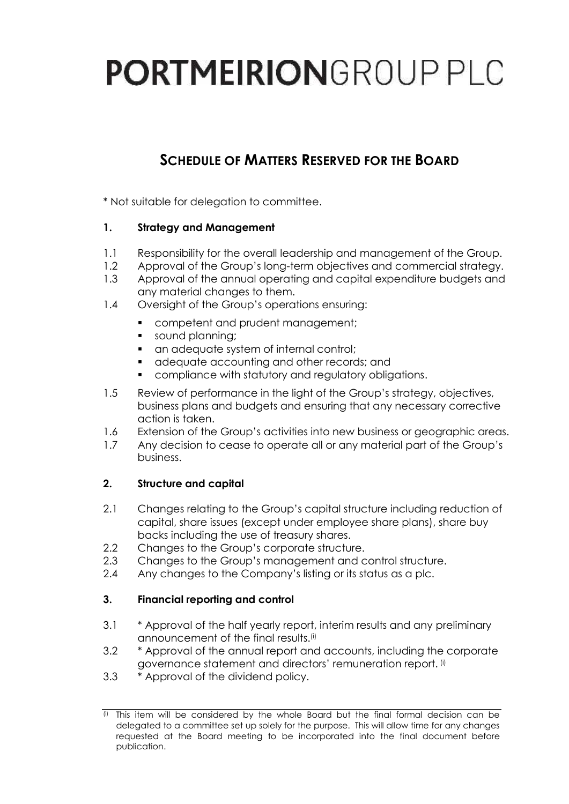# **PORTMEIRION**GROUP PLC

# **SCHEDULE OF MATTERS RESERVED FOR THE BOARD**

\* Not suitable for delegation to committee.

#### **1. Strategy and Management**

- 1.1 Responsibility for the overall leadership and management of the Group.
- 1.2 Approval of the Group's long-term objectives and commercial strategy.
- 1.3 Approval of the annual operating and capital expenditure budgets and any material changes to them.
- 1.4 Oversight of the Group's operations ensuring:
	- **•** competent and prudent management;
	- sound planning;
	- an adequate system of internal control;
	- adequate accounting and other records; and
	- compliance with statutory and regulatory obligations.
- 1.5 Review of performance in the light of the Group's strategy, objectives, business plans and budgets and ensuring that any necessary corrective action is taken.
- 1.6 Extension of the Group's activities into new business or geographic areas.
- 1.7 Any decision to cease to operate all or any material part of the Group's business.

#### **2. Structure and capital**

- 2.1 Changes relating to the Group's capital structure including reduction of capital, share issues (except under employee share plans), share buy backs including the use of treasury shares.
- 2.2 Changes to the Group's corporate structure.
- 2.3 Changes to the Group's management and control structure.
- 2.4 Any changes to the Company's listing or its status as a plc.

#### **3. Financial reporting and control**

- 3.1 \* Approval of the half yearly report, interim results and any preliminary announcement of the final results.(i)
- 3.2 \* Approval of the annual report and accounts, including the corporate governance statement and directors' remuneration report. (i)
- 3.3 \* Approval of the dividend policy.

 $\overline{p}$  This item will be considered by the whole Board but the final formal decision can be delegated to a committee set up solely for the purpose. This will allow time for any changes requested at the Board meeting to be incorporated into the final document before publication.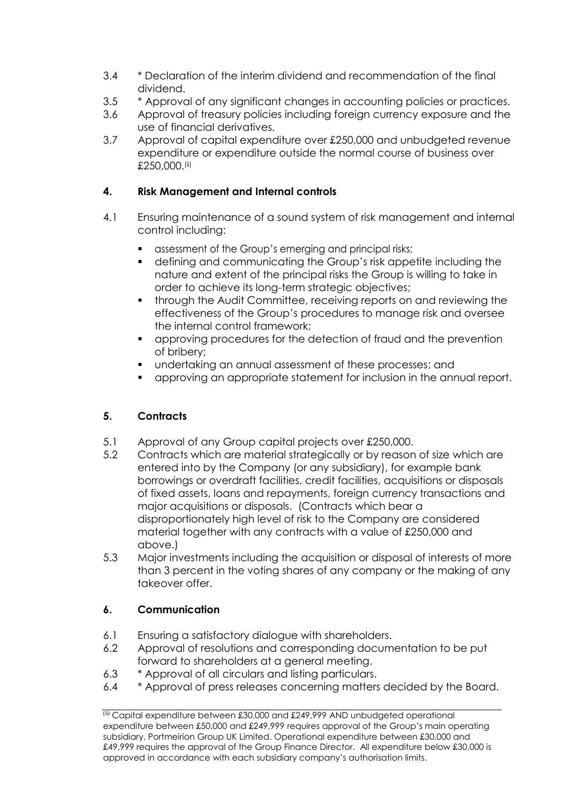- 3.4 \* Declaration of the interim dividend and recommendation of the final dividend.
- 3.5 \* Approval of any significant changes in accounting policies or practices.
- 3.6 Approval of treasury policies including foreign currency exposure and the use of financial derivatives.
- 3.7 Approval of capital expenditure over £250,000 and unbudgeted revenue expenditure or expenditure outside the normal course of business over £250,000.(ii)

### **4. Risk Management and Internal controls**

- 4.1 Ensuring maintenance of a sound system of risk management and internal control including:
	- assessment of the Group's emerging and principal risks;
	- defining and communicating the Group's risk appetite including the nature and extent of the principal risks the Group is willing to take in order to achieve its long-term strategic objectives;
	- through the Audit Committee, receiving reports on and reviewing the effectiveness of the Group's procedures to manage risk and oversee the internal control framework;
	- approving procedures for the detection of fraud and the prevention of bribery;
	- undertaking an annual assessment of these processes; and
	- approving an appropriate statement for inclusion in the annual report.

# **5. Contracts**

- 5.1 Approval of any Group capital projects over £250,000.
- 5.2 Contracts which are material strategically or by reason of size which are entered into by the Company (or any subsidiary), for example bank borrowings or overdraft facilities, credit facilities, acquisitions or disposals of fixed assets, loans and repayments, foreign currency transactions and major acquisitions or disposals. (Contracts which bear a disproportionately high level of risk to the Company are considered material together with any contracts with a value of £250,000 and above.)
- 5.3 Major investments including the acquisition or disposal of interests of more than 3 percent in the voting shares of any company or the making of any takeover offer.

# **6. Communication**

- 6.1 Ensuring a satisfactory dialogue with shareholders.
- 6.2 Approval of resolutions and corresponding documentation to be put forward to shareholders at a general meeting.
- 6.3 \* Approval of all circulars and listing particulars.
- 6.4 \* Approval of press releases concerning matters decided by the Board.

 $\overline{^{(ii)}}$  Capital expenditure between £30,000 and £249,999 AND unbudgeted operational expenditure between £50,000 and £249,999 requires approval of the Group's main operating subsidiary, Portmeirion Group UK Limited. Operational expenditure between £30,000 and £49,999 requires the approval of the Group Finance Director. All expenditure below £30,000 is approved in accordance with each subsidiary company's authorisation limits.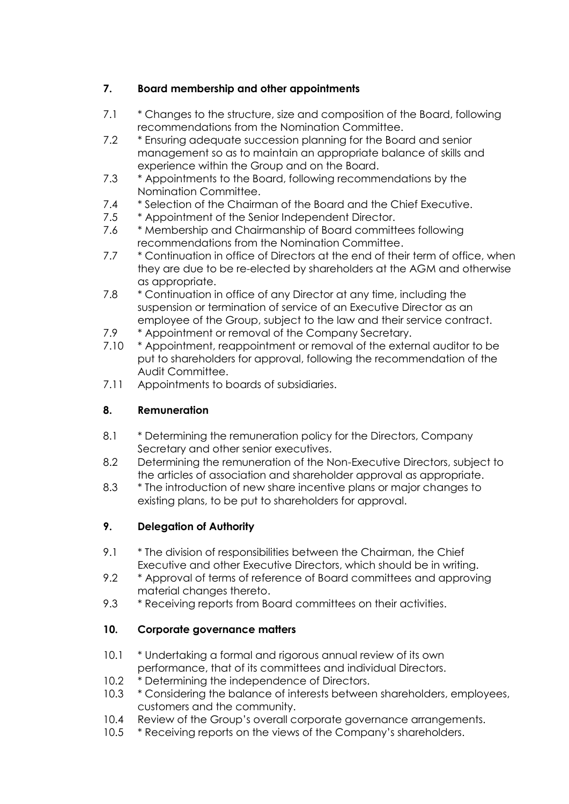# **7. Board membership and other appointments**

- 7.1 \* Changes to the structure, size and composition of the Board, following recommendations from the Nomination Committee.
- 7.2 \* Ensuring adequate succession planning for the Board and senior management so as to maintain an appropriate balance of skills and experience within the Group and on the Board.
- 7.3 \* Appointments to the Board, following recommendations by the Nomination Committee.
- 7.4 \* Selection of the Chairman of the Board and the Chief Executive.
- 7.5 \* Appointment of the Senior Independent Director.
- 7.6 \* Membership and Chairmanship of Board committees following recommendations from the Nomination Committee.
- 7.7 \* Continuation in office of Directors at the end of their term of office, when they are due to be re-elected by shareholders at the AGM and otherwise as appropriate.
- 7.8 \* Continuation in office of any Director at any time, including the suspension or termination of service of an Executive Director as an employee of the Group, subject to the law and their service contract.
- 7.9 \* Appointment or removal of the Company Secretary.
- 7.10 \* Appointment, reappointment or removal of the external auditor to be put to shareholders for approval, following the recommendation of the Audit Committee.
- 7.11 Appointments to boards of subsidiaries.

# **8. Remuneration**

- 8.1 \* Determining the remuneration policy for the Directors, Company Secretary and other senior executives.
- 8.2 Determining the remuneration of the Non-Executive Directors, subject to the articles of association and shareholder approval as appropriate.
- 8.3 \* The introduction of new share incentive plans or major changes to existing plans, to be put to shareholders for approval.

# **9. Delegation of Authority**

- 9.1 \* The division of responsibilities between the Chairman, the Chief Executive and other Executive Directors, which should be in writing.
- 9.2 \* Approval of terms of reference of Board committees and approving material changes thereto.
- 9.3 \* Receiving reports from Board committees on their activities.

#### **10. Corporate governance matters**

- 10.1 \* Undertaking a formal and rigorous annual review of its own performance, that of its committees and individual Directors.
- 10.2 \* Determining the independence of Directors.
- 10.3 \* Considering the balance of interests between shareholders, employees, customers and the community.
- 10.4 Review of the Group's overall corporate governance arrangements.
- 10.5 \* Receiving reports on the views of the Company's shareholders.